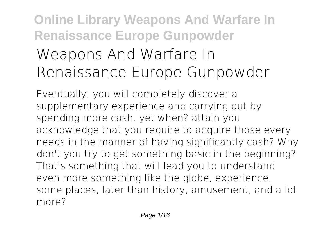# **Online Library Weapons And Warfare In Renaissance Europe Gunpowder Weapons And Warfare In Renaissance Europe Gunpowder**

Eventually, you will completely discover a supplementary experience and carrying out by spending more cash. yet when? attain you acknowledge that you require to acquire those every needs in the manner of having significantly cash? Why don't you try to get something basic in the beginning? That's something that will lead you to understand even more something like the globe, experience, some places, later than history, amusement, and a lot more?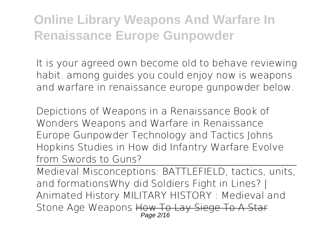It is your agreed own become old to behave reviewing habit. among guides you could enjoy now is **weapons and warfare in renaissance europe gunpowder** below.

*Depictions of Weapons in a Renaissance Book of Wonders* Weapons and Warfare in Renaissance Europe Gunpowder Technology and Tactics Johns Hopkins Studies in How did Infantry Warfare Evolve from Swords to Guns?

Medieval Misconceptions: BATTLEFIELD, tactics, units, and formations*Why did Soldiers Fight in Lines? | Animated History MILITARY HISTORY : Medieval and Stone Age Weapons* How To Lay Siege To A Star Page 2/16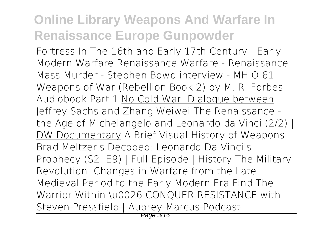Fortress In The 16th and Early 17th Century | Early-Modern Warfare Renaissance Warfare - Renaissance Mass Murder - Stephen Bowd interview - MHIO 61 *Weapons of War (Rebellion Book 2) by M. R. Forbes Audiobook Part 1* No Cold War: Dialogue between Jeffrey Sachs and Zhang Weiwei The Renaissance the Age of Michelangelo and Leonardo da Vinci (2/2) | DW Documentary A Brief Visual History of Weapons Brad Meltzer's Decoded: Leonardo Da Vinci's Prophecy (S2, E9) | Full Episode | History The Military Revolution: Changes in Warfare from the Late Medieval Period to the Early Modern Era Find The Warrior Within \u0026 CONQUER RESISTANCE with Steven Pressfield | Aubrey Marcus Podcast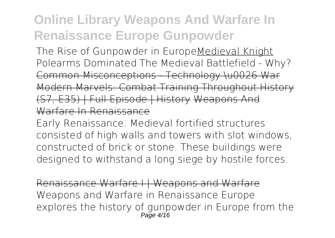The Rise of Gunpowder in EuropeMedieval Knight *Polearms Dominated The Medieval Battlefield - Why?* Common Misconceptions - Technology \u0026 War Modern Marvels: Combat Training Throughout History (S7, E35) | Full Episode | History Weapons And Warfare In Renaissance

Early Renaissance. Medieval fortified structures consisted of high walls and towers with slot windows, constructed of brick or stone. These buildings were designed to withstand a long siege by hostile forces.

Renaissance Warfare I | Weapons and Warfare Weapons and Warfare in Renaissance Europe explores the history of gunpowder in Europe from the  $P$ age  $4/16$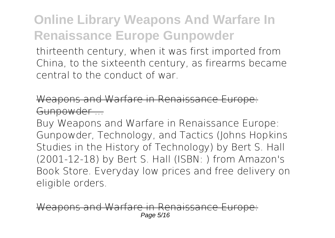thirteenth century, when it was first imported from China, to the sixteenth century, as firearms became central to the conduct of war.

pons and Warfare in Renaissance Gunpowder

Buy Weapons and Warfare in Renaissance Europe: Gunpowder, Technology, and Tactics (Johns Hopkins Studies in the History of Technology) by Bert S. Hall (2001-12-18) by Bert S. Hall (ISBN: ) from Amazon's Book Store. Everyday low prices and free delivery on eligible orders.

as and Warfare Page 5/16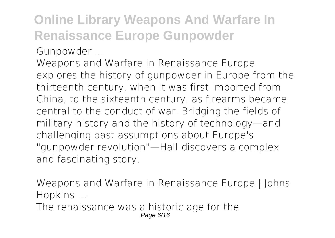#### Gunpowder ...

Weapons and Warfare in Renaissance Europe explores the history of gunpowder in Europe from the thirteenth century, when it was first imported from China, to the sixteenth century, as firearms became central to the conduct of war. Bridging the fields of military history and the history of technology—and challenging past assumptions about Europe's "gunpowder revolution"—Hall discovers a complex and fascinating story.

Weapons and Warfare in Renaissance Europe I Johns Hopkins ...

The renaissance was a historic age for the Page 6/16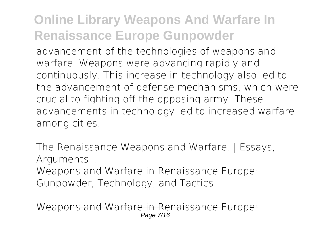advancement of the technologies of weapons and warfare. Weapons were advancing rapidly and continuously. This increase in technology also led to the advancement of defense mechanisms, which were crucial to fighting off the opposing army. These advancements in technology led to increased warfare among cities.

The Renaissance Weapons and Warfare. | Essays, Arguments ...

Weapons and Warfare in Renaissance Europe: Gunpowder, Technology, and Tactics.

ons and Warfare in Page 7/16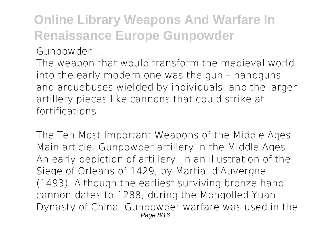#### Gunpowder ...

The weapon that would transform the medieval world into the early modern one was the gun – handguns and arquebuses wielded by individuals, and the larger artillery pieces like cannons that could strike at fortifications.

The Ten Most Important Weapons of the Middle Ages Main article: Gunpowder artillery in the Middle Ages. An early depiction of artillery, in an illustration of the Siege of Orleans of 1429, by Martial d'Auvergne (1493). Although the earliest surviving bronze hand cannon dates to 1288, during the Mongolled Yuan Dynasty of China. Gunpowder warfare was used in the Page 8/16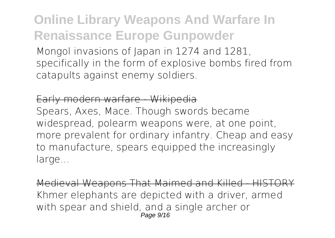Mongol invasions of Japan in 1274 and 1281. specifically in the form of explosive bombs fired from catapults against enemy soldiers.

#### Early modern warfare - Wikipedia

Spears, Axes, Mace. Though swords became widespread, polearm weapons were, at one point, more prevalent for ordinary infantry. Cheap and easy to manufacture, spears equipped the increasingly large...

Medieval Weapons That Maimed and Killed - HISTORY Khmer elephants are depicted with a driver, armed with spear and shield, and a single archer or Page 9/16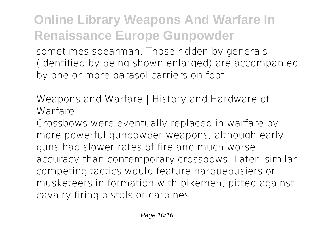sometimes spearman. Those ridden by generals (identified by being shown enlarged) are accompanied by one or more parasol carriers on foot.

### Weapons and Warfare | History and Hardware **Warfare**

Crossbows were eventually replaced in warfare by more powerful gunpowder weapons, although early guns had slower rates of fire and much worse accuracy than contemporary crossbows. Later, similar competing tactics would feature harquebusiers or musketeers in formation with pikemen, pitted against cavalry firing pistols or carbines.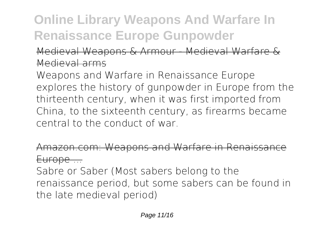### Medieval Weapons & Armour - Medieval Warfare & Medieval arms

Weapons and Warfare in Renaissance Europe explores the history of gunpowder in Europe from the thirteenth century, when it was first imported from China, to the sixteenth century, as firearms became central to the conduct of war.

Amazon.com: Weapons and Warfare in Renaissan Europe ...

Sabre or Saber (Most sabers belong to the renaissance period, but some sabers can be found in the late medieval period)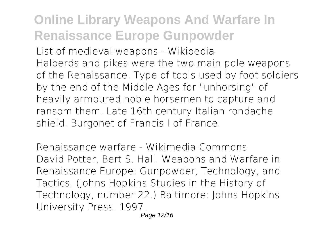List of medieval weapons - Wikipedia

Halberds and pikes were the two main pole weapons of the Renaissance. Type of tools used by foot soldiers by the end of the Middle Ages for "unhorsing" of heavily armoured noble horsemen to capture and ransom them. Late 16th century Italian rondache shield. Burgonet of Francis I of France.

Renaissance warfare - Wikimedia Commons David Potter, Bert S. Hall. Weapons and Warfare in Renaissance Europe: Gunpowder, Technology, and Tactics. (Johns Hopkins Studies in the History of Technology, number 22.) Baltimore: Johns Hopkins University Press. 1997.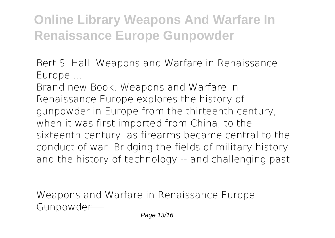#### Bert S. Hall. Weapons and Warfare in Renaissance Europe ...

Brand new Book. Weapons and Warfare in Renaissance Europe explores the history of gunpowder in Europe from the thirteenth century, when it was first imported from China, to the sixteenth century, as firearms became central to the conduct of war. Bridging the fields of military history and the history of technology -- and challenging past ...

Weapons and Warfare in Renaissance Europe Gunpowder ...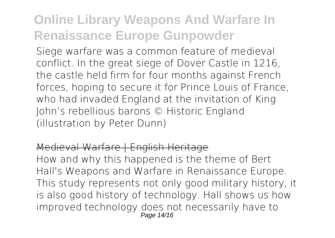Siege warfare was a common feature of medieval conflict. In the great siege of Dover Castle in 1216, the castle held firm for four months against French forces, hoping to secure it for Prince Louis of France, who had invaded England at the invitation of King John's rebellious barons © Historic England (illustration by Peter Dunn)

#### Medieval Warfare | English Heritage

How and why this happened is the theme of Bert Hall's Weapons and Warfare in Renaissance Europe. This study represents not only good military history, it is also good history of technology. Hall shows us how improved technology does not necessarily have to Page 14/16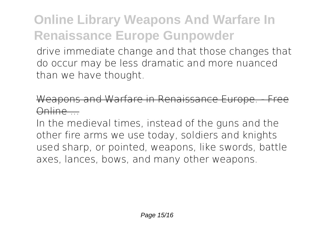drive immediate change and that those changes that do occur may be less dramatic and more nuanced than we have thought.

eapons and Warfare in Renaissance Europe. Online ...

In the medieval times, instead of the guns and the other fire arms we use today, soldiers and knights used sharp, or pointed, weapons, like swords, battle axes, lances, bows, and many other weapons.